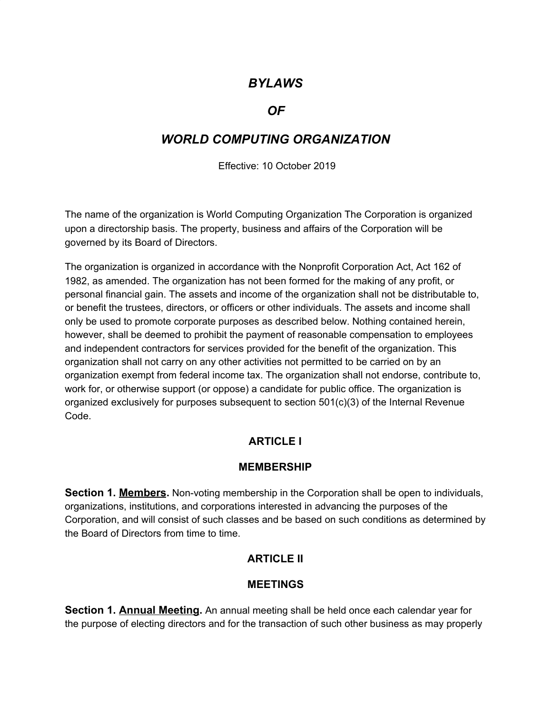## *BYLAWS*

#### *OF*

# *WORLD COMPUTING ORGANIZATION*

Effective: 10 October 2019

The name of the organization is World Computing Organization The Corporation is organized upon a directorship basis. The property, business and affairs of the Corporation will be governed by its Board of Directors.

The organization is organized in accordance with the Nonprofit Corporation Act, Act 162 of 1982, as amended. The organization has not been formed for the making of any profit, or personal financial gain. The assets and income of the organization shall not be distributable to, or benefit the trustees, directors, or officers or other individuals. The assets and income shall only be used to promote corporate purposes as described below. Nothing contained herein, however, shall be deemed to prohibit the payment of reasonable compensation to employees and independent contractors for services provided for the benefit of the organization. This organization shall not carry on any other activities not permitted to be carried on by an organization exempt from federal income tax. The organization shall not endorse, contribute to, work for, or otherwise support (or oppose) a candidate for public office. The organization is organized exclusively for purposes subsequent to section 501(c)(3) of the Internal Revenue Code.

## **ARTICLE I**

#### **MEMBERSHIP**

**Section 1. Members.** Non-voting membership in the Corporation shall be open to individuals, organizations, institutions, and corporations interested in advancing the purposes of the Corporation, and will consist of such classes and be based on such conditions as determined by the Board of Directors from time to time.

#### **ARTICLE II**

#### **MEETINGS**

**Section 1. Annual Meeting.** An annual meeting shall be held once each calendar year for the purpose of electing directors and for the transaction of such other business as may properly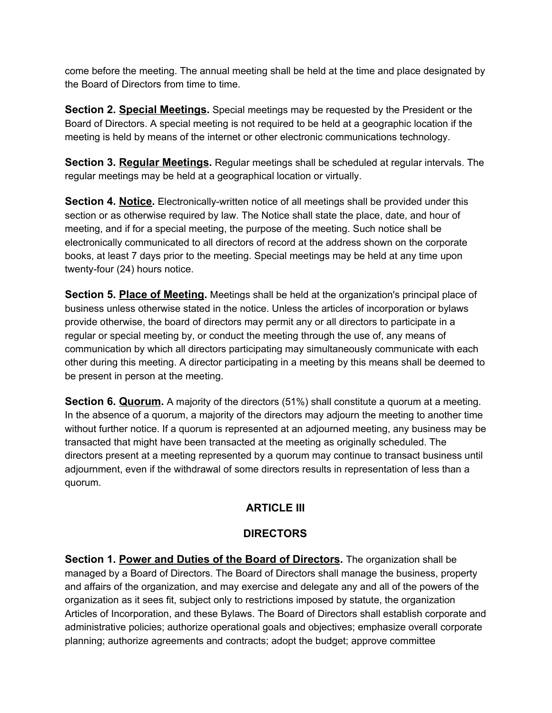come before the meeting. The annual meeting shall be held at the time and place designated by the Board of Directors from time to time.

**Section 2. Special Meetings.** Special meetings may be requested by the President or the Board of Directors. A special meeting is not required to be held at a geographic location if the meeting is held by means of the internet or other electronic communications technology.

**Section 3. Regular Meetings.** Regular meetings shall be scheduled at regular intervals. The regular meetings may be held at a geographical location or virtually.

**Section 4. Notice.** Electronically-written notice of all meetings shall be provided under this section or as otherwise required by law. The Notice shall state the place, date, and hour of meeting, and if for a special meeting, the purpose of the meeting. Such notice shall be electronically communicated to all directors of record at the address shown on the corporate books, at least 7 days prior to the meeting. Special meetings may be held at any time upon twenty-four (24) hours notice.

**Section 5. Place of Meeting.** Meetings shall be held at the organization's principal place of business unless otherwise stated in the notice. Unless the articles of incorporation or bylaws provide otherwise, the board of directors may permit any or all directors to participate in a regular or special meeting by, or conduct the meeting through the use of, any means of communication by which all directors participating may simultaneously communicate with each other during this meeting. A director participating in a meeting by this means shall be deemed to be present in person at the meeting.

**Section 6. Quorum.** A majority of the directors (51%) shall constitute a quorum at a meeting. In the absence of a quorum, a majority of the directors may adjourn the meeting to another time without further notice. If a quorum is represented at an adjourned meeting, any business may be transacted that might have been transacted at the meeting as originally scheduled. The directors present at a meeting represented by a quorum may continue to transact business until adjournment, even if the withdrawal of some directors results in representation of less than a quorum.

## **ARTICLE III**

## **DIRECTORS**

**Section 1. Power and Duties of the Board of Directors.** The organization shall be managed by a Board of Directors. The Board of Directors shall manage the business, property and affairs of the organization, and may exercise and delegate any and all of the powers of the organization as it sees fit, subject only to restrictions imposed by statute, the organization Articles of Incorporation, and these Bylaws. The Board of Directors shall establish corporate and administrative policies; authorize operational goals and objectives; emphasize overall corporate planning; authorize agreements and contracts; adopt the budget; approve committee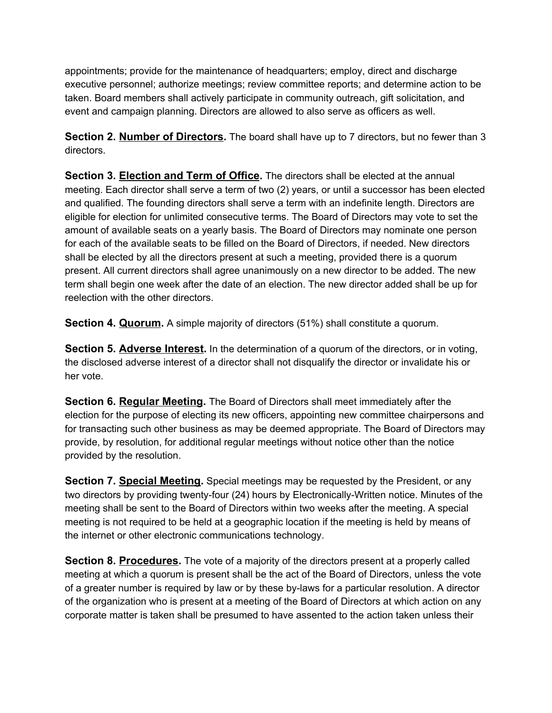appointments; provide for the maintenance of headquarters; employ, direct and discharge executive personnel; authorize meetings; review committee reports; and determine action to be taken. Board members shall actively participate in community outreach, gift solicitation, and event and campaign planning. Directors are allowed to also serve as officers as well.

**Section 2. Number of Directors.** The board shall have up to 7 directors, but no fewer than 3 directors.

**Section 3. Election and Term of Office.** The directors shall be elected at the annual meeting. Each director shall serve a term of two (2) years, or until a successor has been elected and qualified. The founding directors shall serve a term with an indefinite length. Directors are eligible for election for unlimited consecutive terms. The Board of Directors may vote to set the amount of available seats on a yearly basis. The Board of Directors may nominate one person for each of the available seats to be filled on the Board of Directors, if needed. New directors shall be elected by all the directors present at such a meeting, provided there is a quorum present. All current directors shall agree unanimously on a new director to be added. The new term shall begin one week after the date of an election. The new director added shall be up for reelection with the other directors.

**Section 4. Quorum.** A simple majority of directors (51%) shall constitute a quorum.

**Section 5. Adverse Interest.** In the determination of a quorum of the directors, or in voting, the disclosed adverse interest of a director shall not disqualify the director or invalidate his or her vote.

**Section 6. Regular Meeting.** The Board of Directors shall meet immediately after the election for the purpose of electing its new officers, appointing new committee chairpersons and for transacting such other business as may be deemed appropriate. The Board of Directors may provide, by resolution, for additional regular meetings without notice other than the notice provided by the resolution.

**Section 7. Special Meeting.** Special meetings may be requested by the President, or any two directors by providing twenty-four (24) hours by Electronically-Written notice. Minutes of the meeting shall be sent to the Board of Directors within two weeks after the meeting. A special meeting is not required to be held at a geographic location if the meeting is held by means of the internet or other electronic communications technology.

**Section 8. Procedures.** The vote of a majority of the directors present at a properly called meeting at which a quorum is present shall be the act of the Board of Directors, unless the vote of a greater number is required by law or by these by-laws for a particular resolution. A director of the organization who is present at a meeting of the Board of Directors at which action on any corporate matter is taken shall be presumed to have assented to the action taken unless their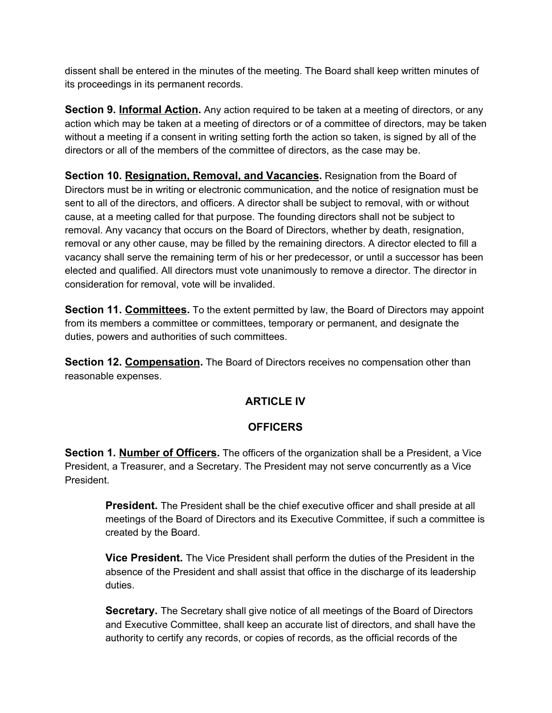dissent shall be entered in the minutes of the meeting. The Board shall keep written minutes of its proceedings in its permanent records.

**Section 9. Informal Action.** Any action required to be taken at a meeting of directors, or any action which may be taken at a meeting of directors or of a committee of directors, may be taken without a meeting if a consent in writing setting forth the action so taken, is signed by all of the directors or all of the members of the committee of directors, as the case may be.

**Section 10. Resignation, Removal, and Vacancies.** Resignation from the Board of Directors must be in writing or electronic communication, and the notice of resignation must be sent to all of the directors, and officers. A director shall be subject to removal, with or without cause, at a meeting called for that purpose. The founding directors shall not be subject to removal. Any vacancy that occurs on the Board of Directors, whether by death, resignation, removal or any other cause, may be filled by the remaining directors. A director elected to fill a vacancy shall serve the remaining term of his or her predecessor, or until a successor has been elected and qualified. All directors must vote unanimously to remove a director. The director in consideration for removal, vote will be invalided.

**Section 11. Committees.** To the extent permitted by law, the Board of Directors may appoint from its members a committee or committees, temporary or permanent, and designate the duties, powers and authorities of such committees.

**Section 12. Compensation.** The Board of Directors receives no compensation other than reasonable expenses.

## **ARTICLE IV**

#### **OFFICERS**

**Section 1. Number of Officers.** The officers of the organization shall be a President, a Vice President, a Treasurer, and a Secretary. The President may not serve concurrently as a Vice President.

**President.** The President shall be the chief executive officer and shall preside at all meetings of the Board of Directors and its Executive Committee, if such a committee is created by the Board.

**Vice President.** The Vice President shall perform the duties of the President in the absence of the President and shall assist that office in the discharge of its leadership duties.

**Secretary.** The Secretary shall give notice of all meetings of the Board of Directors and Executive Committee, shall keep an accurate list of directors, and shall have the authority to certify any records, or copies of records, as the official records of the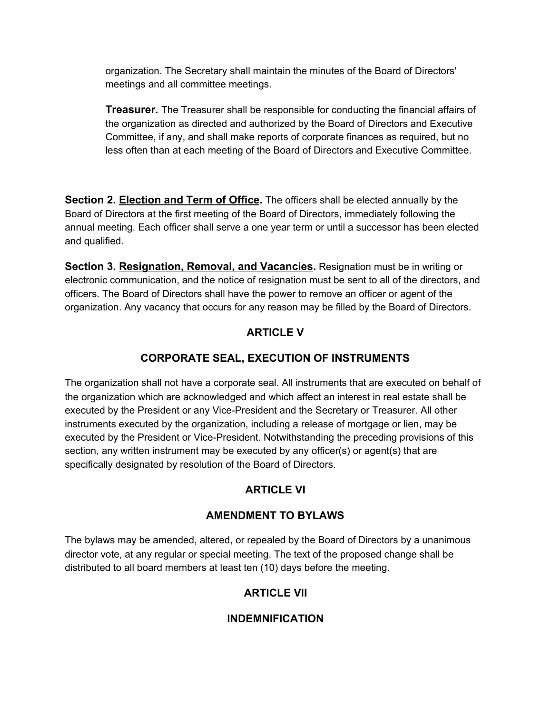organization. The Secretary shall maintain the minutes of the Board of Directors' meetings and all committee meetings.

**Treasurer.** The Treasurer shall be responsible for conducting the financial affairs of the organization as directed and authorized by the Board of Directors and Executive Committee, if any, and shall make reports of corporate finances as required, but no less often than at each meeting of the Board of Directors and Executive Committee.

**Section 2. Election and Term of Office.** The officers shall be elected annually by the Board of Directors at the first meeting of the Board of Directors, immediately following the annual meeting. Each officer shall serve a one year term or until a successor has been elected and qualified.

**Section 3. Resignation, Removal, and Vacancies.** Resignation must be in writing or electronic communication, and the notice of resignation must be sent to all of the directors, and officers. The Board of Directors shall have the power to remove an officer or agent of the organization. Any vacancy that occurs for any reason may be filled by the Board of Directors.

## **ARTICLE V**

## **CORPORATE SEAL, EXECUTION OF INSTRUMENTS**

The organization shall not have a corporate seal. All instruments that are executed on behalf of the organization which are acknowledged and which affect an interest in real estate shall be executed by the President or any Vice-President and the Secretary or Treasurer. All other instruments executed by the organization, including a release of mortgage or lien, may be executed by the President or Vice-President. Notwithstanding the preceding provisions of this section, any written instrument may be executed by any officer(s) or agent(s) that are specifically designated by resolution of the Board of Directors.

## **ARTICLE VI**

#### **AMENDMENT TO BYLAWS**

The bylaws may be amended, altered, or repealed by the Board of Directors by a unanimous director vote, at any regular or special meeting. The text of the proposed change shall be distributed to all board members at least ten (10) days before the meeting.

## **ARTICLE VII**

## **INDEMNIFICATION**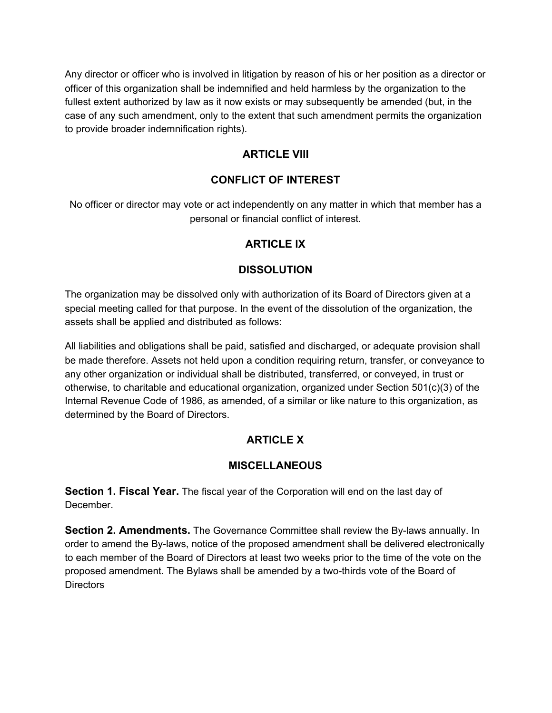Any director or officer who is involved in litigation by reason of his or her position as a director or officer of this organization shall be indemnified and held harmless by the organization to the fullest extent authorized by law as it now exists or may subsequently be amended (but, in the case of any such amendment, only to the extent that such amendment permits the organization to provide broader indemnification rights).

#### **ARTICLE VIII**

#### **CONFLICT OF INTEREST**

No officer or director may vote or act independently on any matter in which that member has a personal or financial conflict of interest.

#### **ARTICLE IX**

#### **DISSOLUTION**

The organization may be dissolved only with authorization of its Board of Directors given at a special meeting called for that purpose. In the event of the dissolution of the organization, the assets shall be applied and distributed as follows:

All liabilities and obligations shall be paid, satisfied and discharged, or adequate provision shall be made therefore. Assets not held upon a condition requiring return, transfer, or conveyance to any other organization or individual shall be distributed, transferred, or conveyed, in trust or otherwise, to charitable and educational organization, organized under Section 501(c)(3) of the Internal Revenue Code of 1986, as amended, of a similar or like nature to this organization, as determined by the Board of Directors.

## **ARTICLE X**

#### **MISCELLANEOUS**

**Section 1. Fiscal Year.** The fiscal year of the Corporation will end on the last day of December.

**Section 2. Amendments.** The Governance Committee shall review the By-laws annually. In order to amend the By-laws, notice of the proposed amendment shall be delivered electronically to each member of the Board of Directors at least two weeks prior to the time of the vote on the proposed amendment. The Bylaws shall be amended by a two-thirds vote of the Board of **Directors**